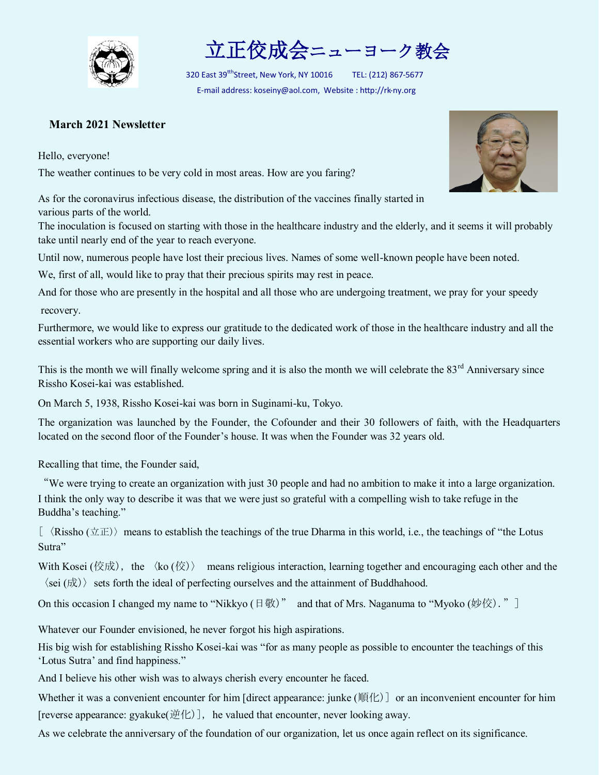

立正佼成会ニューヨーク教会

320 East 39<sup>tth</sup>Street, New York, NY 10016 TEL: (212) 867-5677 E-mail address: koseiny@aol.com, Website : http://rk-ny.org

## **March 2021 Newsletter**

Hello, everyone!

The weather continues to be very cold in most areas. How are you faring?

As for the coronavirus infectious disease, the distribution of the vaccines finally started in various parts of the world.

The inoculation is focused on starting with those in the healthcare industry and the elderly, and it seems it will probably take until nearly end of the year to reach everyone.

Until now, numerous people have lost their precious lives. Names of some well-known people have been noted.

We, first of all, would like to pray that their precious spirits may rest in peace.

And for those who are presently in the hospital and all those who are undergoing treatment, we pray for your speedy recovery.

Furthermore, we would like to express our gratitude to the dedicated work of those in the healthcare industry and all the essential workers who are supporting our daily lives.

This is the month we will finally welcome spring and it is also the month we will celebrate the  $83<sup>rd</sup>$  Anniversary since Rissho Kosei-kai was established.

On March 5, 1938, Rissho Kosei-kai was born in Suginami-ku, Tokyo.

The organization was launched by the Founder, the Cofounder and their 30 followers of faith, with the Headquarters located on the second floor of the Founder's house. It was when the Founder was 32 years old.

Recalling that time, the Founder said,

"We were trying to create an organization with just 30 people and had no ambition to make it into a large organization. I think the only way to describe it was that we were just so grateful with a compelling wish to take refuge in the Buddha's teaching."

 $\left[\right]$   $\langle$  Rissho ( $\pm\pm$ )) means to establish the teachings of the true Dharma in this world, i.e., the teachings of "the Lotus" Sutra"

With Kosei (佼成), the  $\langle \text{ko}(\text{\&}) \rangle$  means religious interaction, learning together and encouraging each other and the  $\langle$ sei (成)  $\rangle$  sets forth the ideal of perfecting ourselves and the attainment of Buddhahood.

On this occasion I changed my name to "Nikkyo (日敬)" and that of Mrs. Naganuma to "Myoko (妙佼)." ]

Whatever our Founder envisioned, he never forgot his high aspirations.

His big wish for establishing Rissho Kosei-kai was "for as many people as possible to encounter the teachings of this 'Lotus Sutra' and find happiness."

And I believe his other wish was to always cherish every encounter he faced.

Whether it was a convenient encounter for him [direct appearance: junke (順化)] or an inconvenient encounter for him [reverse appearance: gyakuke(逆化)], he valued that encounter, never looking away.

As we celebrate the anniversary of the foundation of our organization, let us once again reflect on its significance.